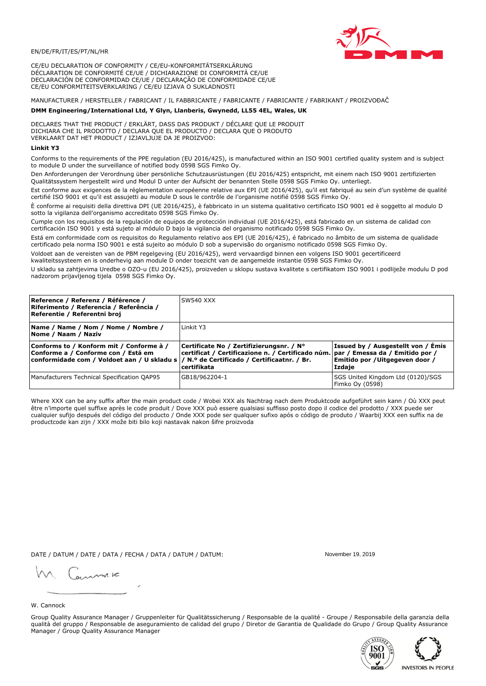

CE/EU DECLARATION OF CONFORMITY / CE/EU-KONFORMITÄTSERKLÄRUNG DÉCLARATION DE CONFORMITÉ CE/UE / DICHIARAZIONE DI CONFORMITÀ CE/UE DECLARACIÓN DE CONFORMIDAD CE/UE / DECLARAÇÃO DE CONFORMIDADE CE/UE CE/EU CONFORMITEITSVERKLARING / CE/EU IZJAVA O SUKLADNOSTI

# MANUFACTURER / HERSTELLER / FABRICANT / IL FABBRICANTE / FABRICANTE / FABRICANTE / FABRIKANT / PROIZVOĐAČ

## DMM Engineering/International Ltd, Y Glyn, Llanberis, Gwynedd, LL55 4EL, Wales, UK

DECLARES THAT THE PRODUCT / ERKLÄRT, DASS DAS PRODUKT / DÉCLARE QUE LE PRODUIT<br>DICHIARA CHE IL PRODOTTO / DECLARA QUE EL PRODUCTO / DECLARA QUE O PRODUTO VERKLAART DAT HET PRODUCT / IZJAVLJUJE DA JE PROIZVOD:

## **Linkit Y3**

Conforms to the requirements of the PPE regulation (EU 2016/425), is manufactured within an ISO 9001 certified quality system and is subject to module D under the surveillance of notified body 0598 SGS Fimko Oy.

Den Anforderungen der Verordnung über persönliche Schutzausrüstungen (EU 2016/425) entspricht, mit einem nach ISO 9001 zertifizierten Qualitätssystem hergestellt wird und Modul D unter der Aufsicht der benannten Stelle 0598 SGS Fimko Oy. unterliegt.

Est conforme aux exigences de la réglementation européenne relative aux EPI (UE 2016/425), qu'il est fabriqué au sein d'un système de qualité certifié ISO 9001 et qu'il est assujetti au module D sous le contrôle de l'organisme notifié 0598 SGS Fimko Oy.

È conforme ai requisiti della direttiva DPI (UE 2016/425), è fabbricato in un sistema qualitativo certificato ISO 9001 ed è soggetto al modulo D sotto la vigilanza dell'organismo accreditato 0598 SGS Fimko Oy.

Cumple con los requisitos de la regulación de equipos de protección individual (UE 2016/425), está fabricado en un sistema de calidad con certificación ISO 9001 y está sujeto al módulo D bajo la vigilancia del organismo notificado 0598 SGS Fimko Oy.

Está em conformidade com os requisitos do Regulamento relativo aos EPI (UE 2016/425), é fabricado no âmbito de um sistema de qualidade certificado pela norma ISO 9001 e está sujeito ao módulo D sob a supervisão do organismo notificado 0598 SGS Fimko Oy.

Voldoet aan de vereisten van de PBM regelgeving (EU 2016/425), werd vervaardigd binnen een volgens ISO 9001 gecertificeerd kwaliteitssysteem en is onderhevig aan module D onder toezicht van de aangemelde instantie 0598 SGS Fimko Oy.

U skladu sa zahtjevima Uredbe o OZO-u (EU 2016/425), proizveden u sklopu sustava kvalitete s certifikatom ISO 9001 i podliježe modulu D pod nadzorom prijavljenog tijela 0598 SGS Fimko Oy.

| Reference / Referenz / Référence /<br>Riferimento / Referencia / Referência /<br>Referentie / Referentni broj                                                              | <b>SW540 XXX</b>                                                                                                                                 |                                                                                 |
|----------------------------------------------------------------------------------------------------------------------------------------------------------------------------|--------------------------------------------------------------------------------------------------------------------------------------------------|---------------------------------------------------------------------------------|
| Name / Name / Nom / Nome / Nombre /<br>Nome / Naam / Naziv                                                                                                                 | Linkit Y3                                                                                                                                        |                                                                                 |
| Conforms to / Konform mit / Conforme à /<br>Conforme a / Conforme con / Está em<br>conformidade com / Voldoet aan / U skladu s / N.º de Certificado / Certificaatnr. / Br. | Certificate No / Zertifizierungsnr. / N°<br>  certificat / Certificazione n. / Certificado núm.   par / Emessa da / Emitido por /<br>certifikata | Issued by / Ausgestellt von / Emis<br>Emitido por / Uitgegeven door /<br>Izdaie |
| Manufacturers Technical Specification QAP95                                                                                                                                | GB18/962204-1                                                                                                                                    | SGS United Kingdom Ltd (0120)/SGS<br>Fimko Oy (0598)                            |

Where XXX can be any suffix after the main product code / Wobei XXX als Nachtrag nach dem Produktcode aufgeführt sein kann / Où XXX peut être n'importe quel suffixe après le code produit / Dove XXX può essere qualsiasi suffisso posto dopo il codice del prodotto / XXX puede ser cualquier sufijo después del código del producto / Onde XXX pode ser qualquer sufixo após o código de produto / Waarbij XXX een suffix na de productcode kan zijn / XXX može biti bilo koji nastavak nakon šifre proizvoda

DATE / DATUM / DATE / DATA / FECHA / DATA / DATUM / DATUM:

gimmic

November 19 2019



Group Quality Assurance Manager / Gruppenleiter für Qualitätssicherung / Responsable de la qualité - Groupe / Responsabile della garanzia della qualità del gruppo / Responsable de aseguramiento de calidad del grupo / Diretor de Garantia de Qualidade do Grupo / Group Quality Assurance Manager / Group Quality Assurance Manager



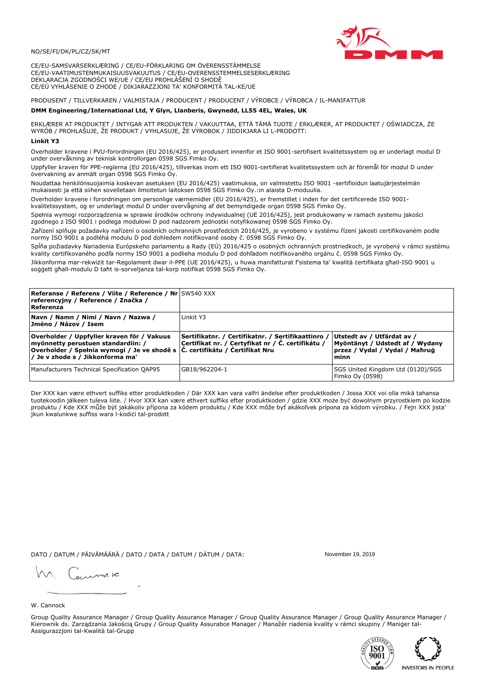## NO/SE/FI/DK/PL/CZ/SK/MT

CE/EU-SAMSVARSERKLÆRING / CE/EU-FÖRKLARING OM ÖVERENSSTÄMMELSE CE/EU-VAATIMUSTENMUKAISUUSVAKUUTUS / CE/EU-OVERENSSTEMMELSESERKLÆRING DEKLARACJA ZGODNOŚCI WE/UE / CE/EU PROHLÁŠENÍ O SHODĚ CE/EÚ VYHLÁSENIE O ZHODE / DIKJARAZZJONI TA' KONFORMITÀ TAL-KE/UE

# PRODUSENT / TILLVERKAREN / VALMISTAJA / PRODUCENT / PRODUCENT / VÝROBCE / VÝROBCA / IL-MANIFATTUR

### DMM Engineering/International Ltd, Y Glyn, Llanberis, Gwynedd, LL55 4EL, Wales, UK

ERKLÆRER AT PRODUKTET / INTYGAR ATT PRODUKTEN / VAKUUTTAA, ETTÄ TÄMÄ TUOTE / ERKLÆRER, AT PRODUKTET / OŚWIADCZA, ŻE<br>WYRÓB / PROHLAŠUJE, ŽE PRODUKT / VYHLASUJE, ŽE VÝROBOK / JIDDIKJARA LI L-PRODOTT:

Overholder kravene i PVU-forordningen (EU 2016/425), er produsert innenfor et ISO 9001-sertifisert kvalitetssystem og er underlagt modul D under overvåkning av teknisk kontrollorgan 0598 SGS Fimko Oy.

Uppfyller kraven för PPE-reglerna (EU 2016/425), tillverkas inom ett ISO 9001-certifierat kvalitetssystem och är föremål för modul D under övervakning av anmält organ 0598 SGS Fimko Oy.

Noudattaa henkilönsuojaimia koskevan asetuksen (EU 2016/425) vaatimuksia, on valmistettu ISO 9001 -sertifioidun laatujärjestelmän mukaisesti ja että siihen sovelletaan ilmoitetun laitoksen 0598 SGS Fimko Oy.:in alaista D-moduulia.

Overholder kravene i forordningen om personlige værnemidler (EU 2016/425), er fremstillet i inden for det certificerede ISO 9001kvalitetssystem, og er underlagt modul D under overvågning af det bemyndigede organ 0598 SGS Fimko Oy.

Spełnia wymogi rozporządzenia w sprawie środków ochrony indywidualnej (UE 2016/425), jest produkowany w ramach systemu jakości zgodnego z ISO 9001 i podlega modułowi D pod nadzorem jednostki notyfikowanej 0598 SGS Fimko Oy.

Zařízení splňuje požadavky nařízení o osobních ochranných prostředcích 2016/425, je vyrobeno v systému řízení jakosti certifikovaném podle normy ISO 9001 a podléhá modulu D pod dohledem notifikované osoby č. 0598 SGS Fimko Oy.

Spĺňa požiadavky Nariadenia Európskeho parlamentu a Rady (EÚ) 2016/425 o osobných ochranných prostriedkoch, je vyrobený v rámci systému kvality certifikovaného podľa normy ISO 9001 a podlieha modulu D pod dohľadom notifikovaného orgánu č. 0598 SGS Fimko Oy.

Jikkonforma mar-rekwiżit tar-Regolament dwar il-PPE (UE 2016/425), u huwa manifatturat f'sistema ta' kwalità certifikata għall-ISO 9001 u soggett għall-modulu D taħt is-sorveljanza tal-korp notifikat 0598 SGS Fimko Oy.

| Referanse / Referens / Viite / Reference / Nr SW540 XXX<br>referencyjny / Reference / Značka /<br>Referenza                                                                                                      |                                                                                                         |                                                                                                         |
|------------------------------------------------------------------------------------------------------------------------------------------------------------------------------------------------------------------|---------------------------------------------------------------------------------------------------------|---------------------------------------------------------------------------------------------------------|
| Navn / Namn / Nimi / Navn / Nazwa /<br> Jméno / Názov / Isem                                                                                                                                                     | Linkit Y3                                                                                               |                                                                                                         |
| Overholder / Uppfyller kraven för / Vakuus<br>myönnetty perustuen standardiin: /<br>Overholder / Spełnia wymogi / Je ve shodě s $ \tilde{C} $ . certifikátu / Certifikat Nru<br>/ Je v zhode s / Jikkonforma ma' | Sertifikatnr. / Certifikatnr. / Sertifikaattinro /<br>Certifikat nr. / Certyfikat nr / Č. certifikátu / | Utstedt av / Utfärdat av /<br>Myöntänyt / Udstedt af / Wydany<br>przez / Vydal / Vydal / Maħruġ<br>minn |
| Manufacturers Technical Specification QAP95                                                                                                                                                                      | GB18/962204-1                                                                                           | SGS United Kingdom Ltd (0120)/SGS<br>Fimko Oy (0598)                                                    |

Der XXX kan være ethvert suffiks etter produktkoden / Där XXX kan vara valfri ändelse efter produktkoden / Jossa XXX voi olla mikä tahansa tuotekoodin jälkeen tuleva liite. / Hvor XXX kan være ethvert suffiks efter produktkoden / gdzie XXX może być dowolnym przyrostkiem po kodzie produktu / Kde XXX může být jakákoliv přípona za kódem produktu / Kde XXX môže byť akákolyek prípona za kódom výrobku. / Fejn XXX jista ikun kwalunkwe suffiss wara l-kodići tal-prodott

DATO / DATUM / PÄIVÄMÄÄRÄ / DATO / DATA / DATUM / DÁTUM / DATA:

November 19 2019

annuic

W. Cannock

Group Quality Assurance Manager / Group Quality Assurance Manager / Group Quality Assurance Manager / Group Quality Assurance Manager / Kierownik ds. Zarządzania Jakością Grupy / Group Quality Assurabce Manager / Manažér riadenia kvality v rámci skupiny / Maniger tal-Assigurazzjoni tal-Kwalità tal-Grupp